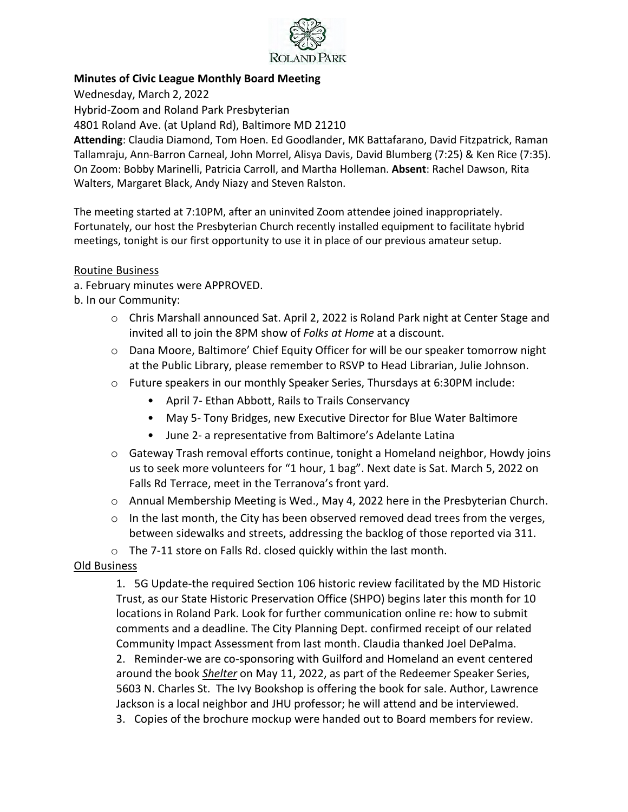

# **Minutes of Civic League Monthly Board Meeting**

Wednesday, March 2, 2022 Hybrid-Zoom and Roland Park Presbyterian

4801 Roland Ave. (at Upland Rd), Baltimore MD 21210

**Attending**: Claudia Diamond, Tom Hoen. Ed Goodlander, MK Battafarano, David Fitzpatrick, Raman Tallamraju, Ann-Barron Carneal, John Morrel, Alisya Davis, David Blumberg (7:25) & Ken Rice (7:35). On Zoom: Bobby Marinelli, Patricia Carroll, and Martha Holleman. **Absent**: Rachel Dawson, Rita Walters, Margaret Black, Andy Niazy and Steven Ralston.

The meeting started at 7:10PM, after an uninvited Zoom attendee joined inappropriately. Fortunately, our host the Presbyterian Church recently installed equipment to facilitate hybrid meetings, tonight is our first opportunity to use it in place of our previous amateur setup.

### Routine Business

a. February minutes were APPROVED.

- b. In our Community:
	- $\circ$  Chris Marshall announced Sat. April 2, 2022 is Roland Park night at Center Stage and invited all to join the 8PM show of *Folks at Home* at a discount.
	- $\circ$  Dana Moore, Baltimore' Chief Equity Officer for will be our speaker tomorrow night at the Public Library, please remember to RSVP to Head Librarian, Julie Johnson.
	- o Future speakers in our monthly Speaker Series, Thursdays at 6:30PM include:
		- April 7- Ethan Abbott, Rails to Trails Conservancy
		- May 5- Tony Bridges, new Executive Director for Blue Water Baltimore
		- June 2- a representative from Baltimore's Adelante Latina
	- $\circ$  Gateway Trash removal efforts continue, tonight a Homeland neighbor, Howdy joins us to seek more volunteers for "1 hour, 1 bag". Next date is Sat. March 5, 2022 on Falls Rd Terrace, meet in the Terranova's front yard.
	- $\circ$  Annual Membership Meeting is Wed., May 4, 2022 here in the Presbyterian Church.
	- o In the last month, the City has been observed removed dead trees from the verges, between sidewalks and streets, addressing the backlog of those reported via 311.

o The 7-11 store on Falls Rd. closed quickly within the last month.

# Old Business

1. 5G Update-the required Section 106 historic review facilitated by the MD Historic Trust, as our State Historic Preservation Office (SHPO) begins later this month for 10 locations in Roland Park. Look for further communication online re: how to submit comments and a deadline. The City Planning Dept. confirmed receipt of our related Community Impact Assessment from last month. Claudia thanked Joel DePalma. 2. Reminder-we are co-sponsoring with Guilford and Homeland an event centered around the book *Shelter* on May 11, 2022, as part of the Redeemer Speaker Series, 5603 N. Charles St. The Ivy Bookshop is offering the book for sale. Author, Lawrence Jackson is a local neighbor and JHU professor; he will attend and be interviewed.

3. Copies of the brochure mockup were handed out to Board members for review.